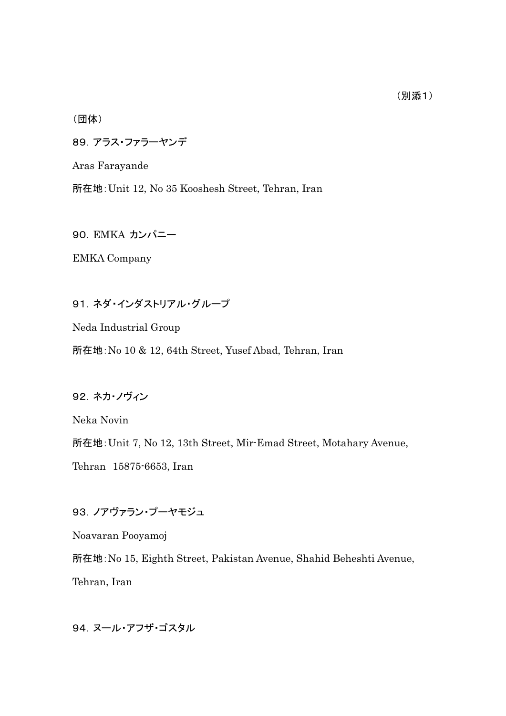(団体)

89.アラス・ファラーヤンデ

Aras Farayande

所在地:Unit 12, No 35 Kooshesh Street, Tehran, Iran

90. EMKA カンパニー

EMKA Company

91.ネダ・インダストリアル・グループ

Neda Industrial Group

所在地:No 10 & 12, 64th Street, Yusef Abad, Tehran, Iran

92.ネカ・ノヴィン

Neka Novin

所在地:Unit 7, No 12, 13th Street, Mir-Emad Street, Motahary Avenue,

Tehran 15875-6653, Iran

93.ノアヴァラン・プーヤモジュ

Noavaran Pooyamoj

所在地:No 15, Eighth Street, Pakistan Avenue, Shahid Beheshti Avenue, Tehran, Iran

94. ヌール・アフザ・ゴスタル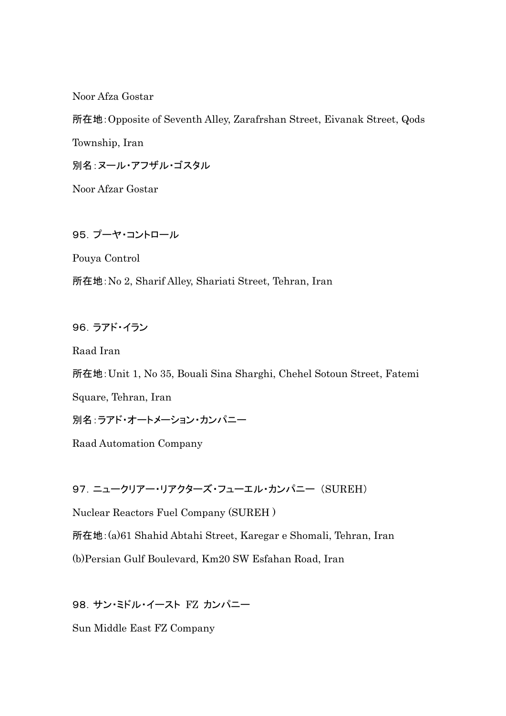Noor Afza Gostar

所在地:Opposite of Seventh Alley, Zarafrshan Street, Eivanak Street, Qods Township, Iran 別名:ヌール・アフザル・ゴスタル

Noor Afzar Gostar

95.プーヤ・コントロール

Pouya Control

所在地:No 2, Sharif Alley, Shariati Street, Tehran, Iran

96.ラアド・イラン

Raad Iran

所在地:Unit 1, No 35, Bouali Sina Sharghi, Chehel Sotoun Street, Fatemi

Square, Tehran, Iran

別名:ラアド・オートメーション・カンパニー

Raad Automation Company

97.ニュークリアー・リアクターズ・フューエル・カンパニー (SUREH)

Nuclear Reactors Fuel Company (SUREH )

所在地:(a)61 Shahid Abtahi Street, Karegar e Shomali, Tehran, Iran

(b)Persian Gulf Boulevard, Km20 SW Esfahan Road, Iran

98.サン・ミドル・イースト FZ カンパニー

Sun Middle East FZ Company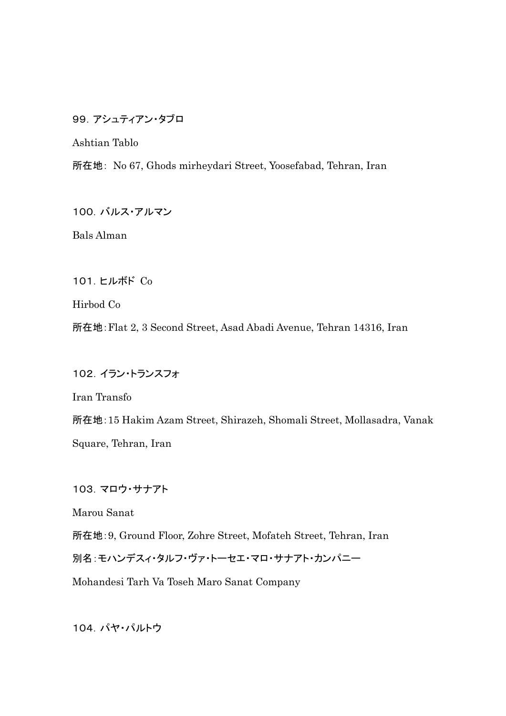99.アシュティアン・タブロ

Ashtian Tablo

所在地: No 67, Ghods mirheydari Street, Yoosefabad, Tehran, Iran

100.バルス・アルマン

Bals Alman

101.ヒルボド Co

Hirbod Co

所在地:Flat 2, 3 Second Street, Asad Abadi Avenue, Tehran 14316, Iran

102.イラン・トランスフォ

Iran Transfo

所在地:15 Hakim Azam Street, Shirazeh, Shomali Street, Mollasadra, Vanak Square, Tehran, Iran

103.マロウ・サナアト

Marou Sanat

所在地:9, Ground Floor, Zohre Street, Mofateh Street, Tehran, Iran

別名:モハンデスィ・タルフ・ヴァ・トーセエ・マロ・サナアト・カンパニー

Mohandesi Tarh Va Toseh Maro Sanat Company

104.パヤ・パルトウ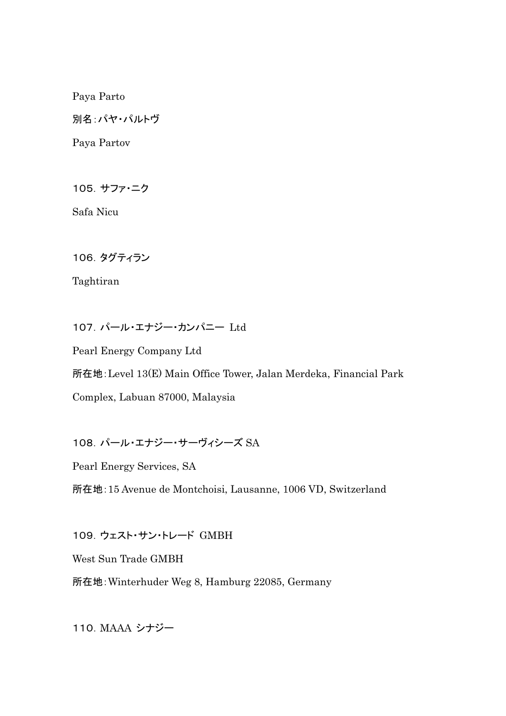Paya Parto

別名:パヤ・パルトヴ

Paya Partov

105.サファ・ニク

Safa Nicu

106.タグティラン

Taghtiran

107.パール・エナジー・カンパニー Ltd

Pearl Energy Company Ltd 所在地:Level 13(E) Main Office Tower, Jalan Merdeka, Financial Park Complex, Labuan 87000, Malaysia

108.パール・エナジー・サーヴィシーズ SA

Pearl Energy Services, SA

所在地:15 Avenue de Montchoisi, Lausanne, 1006 VD, Switzerland

109.ウェスト・サン・トレード GMBH

West Sun Trade GMBH

所在地:Winterhuder Weg 8, Hamburg 22085, Germany

110.MAAA シナジー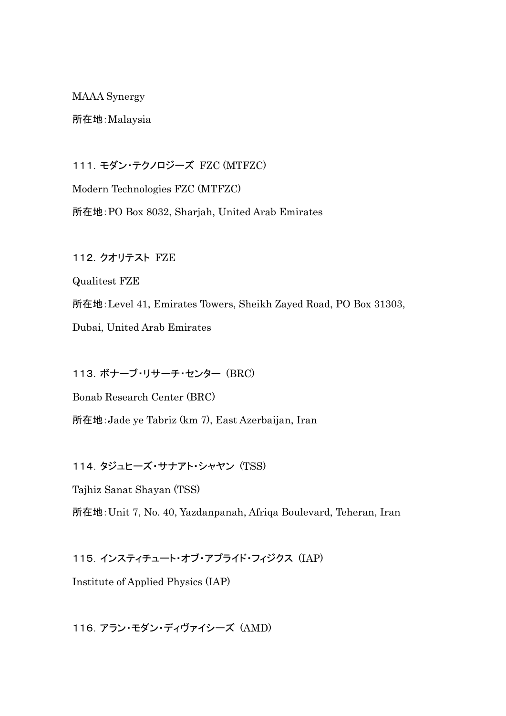MAAA Synergy

所在地:Malaysia

111.モダン・テクノロジーズ FZC (MTFZC)

Modern Technologies FZC (MTFZC) 所在地:PO Box 8032, Sharjah, United Arab Emirates

112. クオリテスト FZE

Qualitest FZE

所在地:Level 41, Emirates Towers, Sheikh Zayed Road, PO Box 31303,

Dubai, United Arab Emirates

113.ボナーブ・リサーチ・センター (BRC)

Bonab Research Center (BRC)

所在地:Jade ye Tabriz (km 7), East Azerbaijan, Iran

114.タジュヒーズ・サナアト・シャヤン (TSS)

Tajhiz Sanat Shayan (TSS)

所在地:Unit 7, No. 40, Yazdanpanah, Afriqa Boulevard, Teheran, Iran

115.インスティチュート・オブ・アプライド・フィジクス (IAP)

Institute of Applied Physics (IAP)

116.アラン・モダン・ディヴァイシーズ (AMD)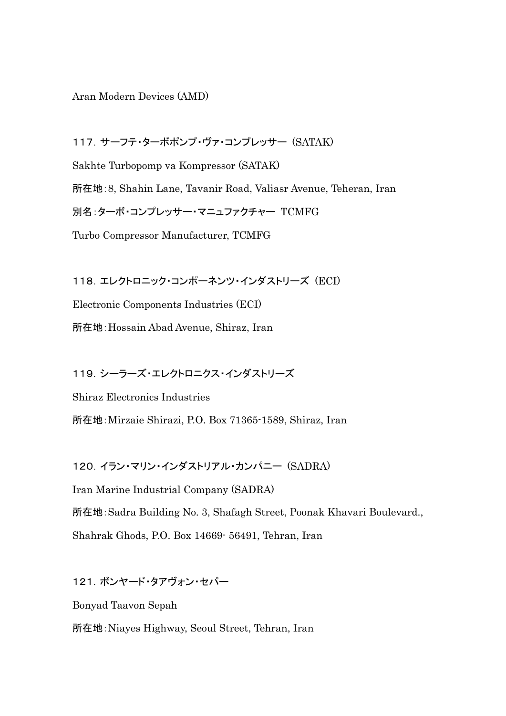Aran Modern Devices (AMD)

117.サーフテ・ターボポンプ・ヴァ・コンプレッサー (SATAK) Sakhte Turbopomp va Kompressor (SATAK) 所在地:8, Shahin Lane, Tavanir Road, Valiasr Avenue, Teheran, Iran 別名:ターボ・コンプレッサー・マニュファクチャー TCMFG Turbo Compressor Manufacturer, TCMFG

118.エレクトロニック・コンポーネンツ・インダストリーズ (ECI) Electronic Components Industries (ECI) 所在地:Hossain Abad Avenue, Shiraz, Iran

119.シーラーズ・エレクトロニクス・インダストリーズ

Shiraz Electronics Industries 所在地:Mirzaie Shirazi, P.O. Box 71365-1589, Shiraz, Iran

120.イラン・マリン・インダストリアル・カンパニー (SADRA)

Iran Marine Industrial Company (SADRA) 所在地:Sadra Building No. 3, Shafagh Street, Poonak Khavari Boulevard.,

Shahrak Ghods, P.O. Box 14669- 56491, Tehran, Iran

121.ボンヤード・タアヴォン・セパー

Bonyad Taavon Sepah

所在地:Niayes Highway, Seoul Street, Tehran, Iran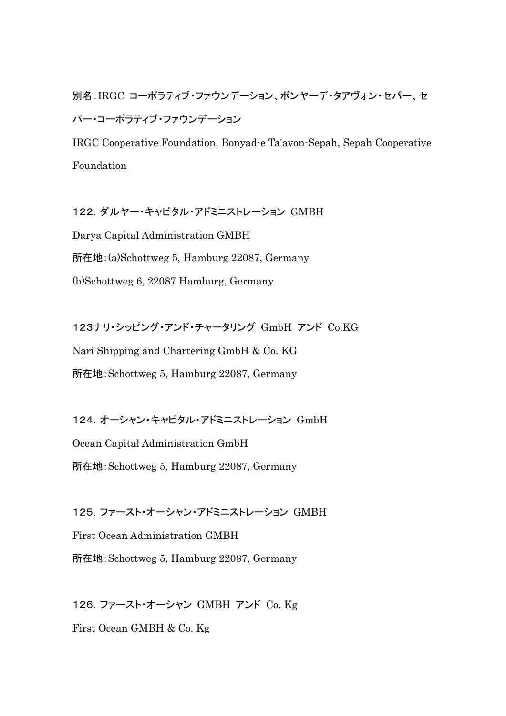別名:IRGC コーポラティブ・ファウンデーション、ボンヤーデ・タアヴォン・セパー、セ パー・コーポラティブ・ファウンデーション

IRGC Cooperative Foundation, Bonyad-e Ta'avon-Sepah, Sepah Cooperative Foundation

122.ダルヤー・キャピタル・アドミニストレーション GMBH Darya Capital Administration GMBH 所在地:(a)Schottweg 5, Hamburg 22087, Germany (b)Schottweg 6, 22087 Hamburg, Germany

123ナリ・シッピング・アンド・チャータリング GmbH アンド Co.KG Nari Shipping and Chartering GmbH & Co. KG 所在地:Schottweg 5, Hamburg 22087, Germany

124.オーシャン・キャピタル・アドミニストレーション GmbH Ocean Capital Administration GmbH 所在地:Schottweg 5, Hamburg 22087, Germany

125.ファースト・オーシャン・アドミニストレーション GMBH First Ocean Administration GMBH 所在地:Schottweg 5, Hamburg 22087, Germany

126.ファースト・オーシャン GMBH アンド Co. Kg First Ocean GMBH & Co. Kg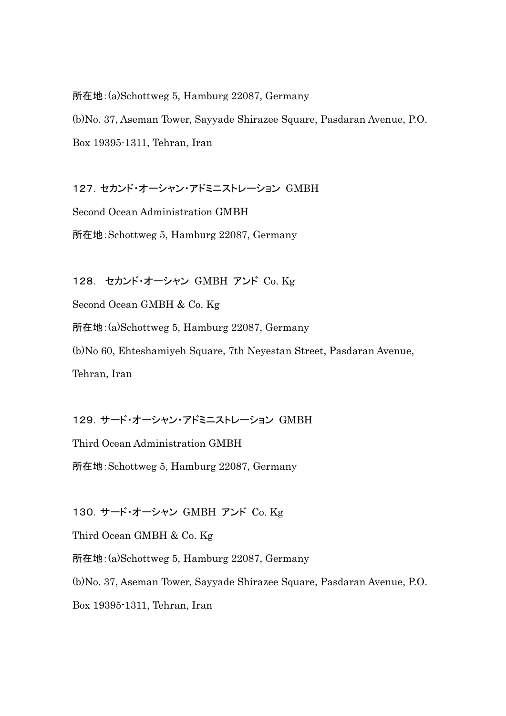所在地:(a)Schottweg 5, Hamburg 22087, Germany

(b)No. 37, Aseman Tower, Sayyade Shirazee Square, Pasdaran Avenue, P.O. Box 19395-1311, Tehran, Iran

127.セカンド・オーシャン・アドミニストレーション GMBH Second Ocean Administration GMBH 所在地:Schottweg 5, Hamburg 22087, Germany

128. セカンド・オーシャン GMBH アンド Co. Kg Second Ocean GMBH & Co. Kg 所在地:(a)Schottweg 5, Hamburg 22087, Germany (b)No 60, Ehteshamiyeh Square, 7th Neyestan Street, Pasdaran Avenue, Tehran, Iran

129.サード・オーシャン・アドミニストレーション GMBH

Third Ocean Administration GMBH

所在地:Schottweg 5, Hamburg 22087, Germany

130.サード・オーシャン GMBH アンド Co. Kg

Third Ocean GMBH & Co. Kg

所在地:(a)Schottweg 5, Hamburg 22087, Germany

(b)No. 37, Aseman Tower, Sayyade Shirazee Square, Pasdaran Avenue, P.O.

Box 19395-1311, Tehran, Iran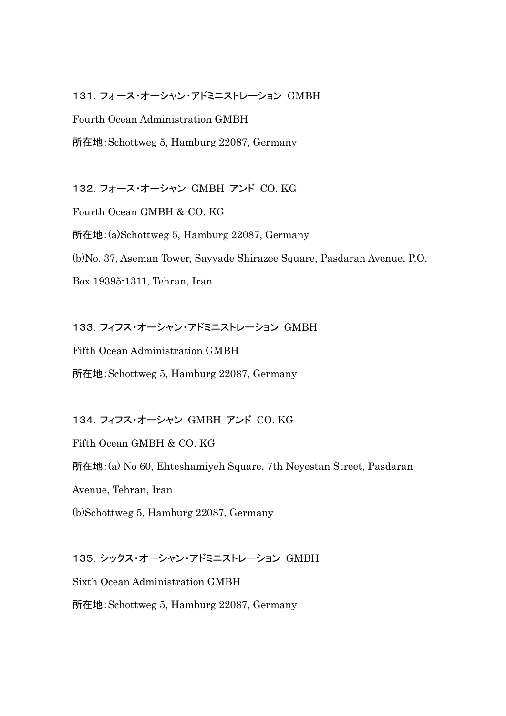#### 131.フォース・オーシャン・アドミニストレーション GMBH

Fourth Ocean Administration GMBH

所在地:Schottweg 5, Hamburg 22087, Germany

132.フォース・オーシャン GMBH アンド CO. KG

Fourth Ocean GMBH & CO. KG

所在地:(a)Schottweg 5, Hamburg 22087, Germany

(b)No. 37, Aseman Tower, Sayyade Shirazee Square, Pasdaran Avenue, P.O.

Box 19395-1311, Tehran, Iran

133.フィフス・オーシャン・アドミニストレーション GMBH

Fifth Ocean Administration GMBH

所在地:Schottweg 5, Hamburg 22087, Germany

134.フィフス・オーシャン GMBH アンド CO. KG

Fifth Ocean GMBH & CO. KG

所在地:(a) No 60, Ehteshamiyeh Square, 7th Neyestan Street, Pasdaran

Avenue, Tehran, Iran

(b)Schottweg 5, Hamburg 22087, Germany

135.シックス・オーシャン・アドミニストレーション GMBH

Sixth Ocean Administration GMBH

所在地:Schottweg 5, Hamburg 22087, Germany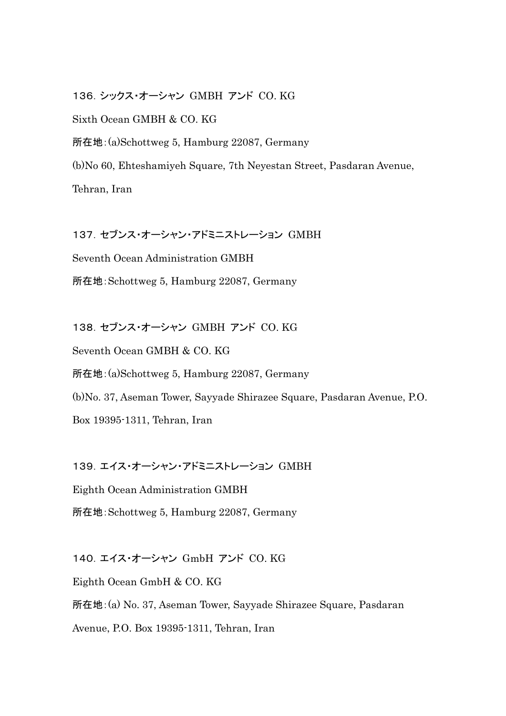136.シックス・オーシャン GMBH アンド CO. KG Sixth Ocean GMBH & CO. KG 所在地:(a)Schottweg 5, Hamburg 22087, Germany (b)No 60, Ehteshamiyeh Square, 7th Neyestan Street, Pasdaran Avenue, Tehran, Iran

137.セブンス・オーシャン・アドミニストレーション GMBH Seventh Ocean Administration GMBH 所在地:Schottweg 5, Hamburg 22087, Germany

138.セブンス・オーシャン GMBH アンド CO. KG Seventh Ocean GMBH & CO. KG 所在地:(a)Schottweg 5, Hamburg 22087, Germany (b)No. 37, Aseman Tower, Sayyade Shirazee Square, Pasdaran Avenue, P.O. Box 19395-1311, Tehran, Iran

139.エイス・オーシャン・アドミニストレーション GMBH

Eighth Ocean Administration GMBH 所在地:Schottweg 5, Hamburg 22087, Germany

140.エイス・オーシャン GmbH アンド CO. KG Eighth Ocean GmbH & CO. KG 所在地:(a) No. 37, Aseman Tower, Sayyade Shirazee Square, Pasdaran Avenue, P.O. Box 19395-1311, Tehran, Iran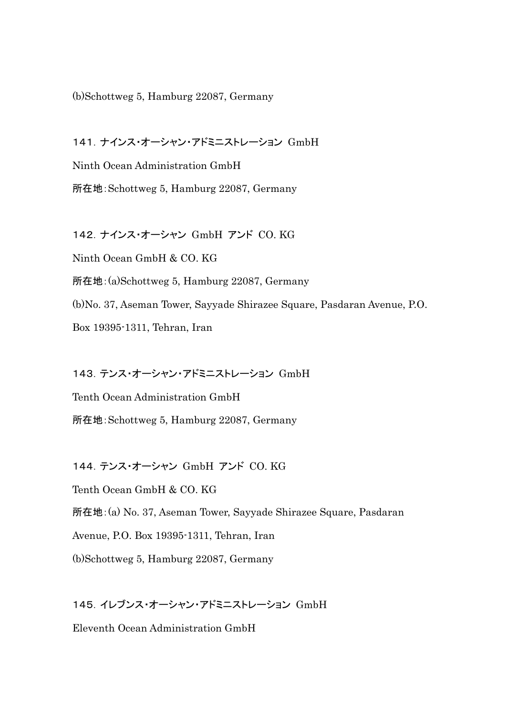(b)Schottweg 5, Hamburg 22087, Germany

141.ナインス・オーシャン・アドミニストレーション GmbH Ninth Ocean Administration GmbH 所在地:Schottweg 5, Hamburg 22087, Germany

142.ナインス・オーシャン GmbH アンド CO. KG Ninth Ocean GmbH & CO. KG 所在地:(a)Schottweg 5, Hamburg 22087, Germany (b)No. 37, Aseman Tower, Sayyade Shirazee Square, Pasdaran Avenue, P.O. Box 19395-1311, Tehran, Iran

143.テンス・オーシャン・アドミニストレーション GmbH Tenth Ocean Administration GmbH 所在地:Schottweg 5, Hamburg 22087, Germany

144.テンス・オーシャン GmbH アンド CO. KG

Tenth Ocean GmbH & CO. KG

所在地:(a) No. 37, Aseman Tower, Sayyade Shirazee Square, Pasdaran

Avenue, P.O. Box 19395-1311, Tehran, Iran

(b)Schottweg 5, Hamburg 22087, Germany

145.イレブンス・オーシャン・アドミニストレーション GmbH

Eleventh Ocean Administration GmbH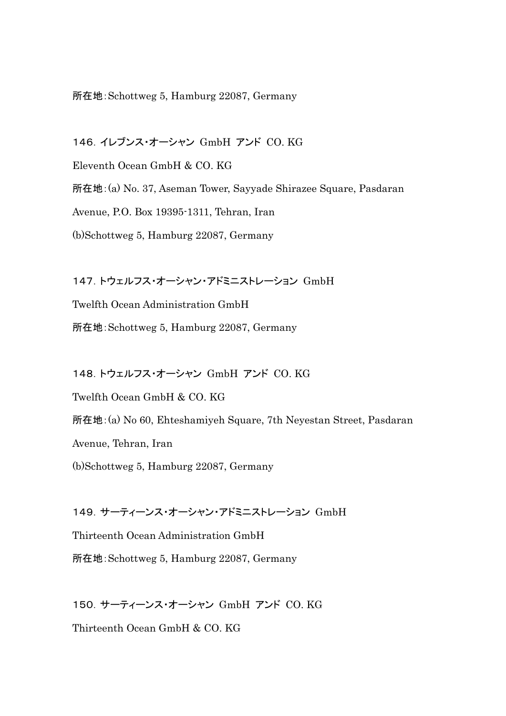#### 所在地:Schottweg 5, Hamburg 22087, Germany

146.イレブンス・オーシャン GmbH アンド CO. KG Eleventh Ocean GmbH & CO. KG 所在地:(a) No. 37, Aseman Tower, Sayyade Shirazee Square, Pasdaran Avenue, P.O. Box 19395-1311, Tehran, Iran (b)Schottweg 5, Hamburg 22087, Germany

147.トウェルフス・オーシャン・アドミニストレーション GmbH Twelfth Ocean Administration GmbH 所在地:Schottweg 5, Hamburg 22087, Germany

148.トウェルフス・オーシャン GmbH アンド CO. KG Twelfth Ocean GmbH & CO. KG 所在地:(a) No 60, Ehteshamiyeh Square, 7th Neyestan Street, Pasdaran Avenue, Tehran, Iran (b)Schottweg 5, Hamburg 22087, Germany

149.サーティーンス・オーシャン・アドミニストレーション GmbH Thirteenth Ocean Administration GmbH 所在地:Schottweg 5, Hamburg 22087, Germany

150.サーティーンス・オーシャン GmbH アンド CO. KG Thirteenth Ocean GmbH & CO. KG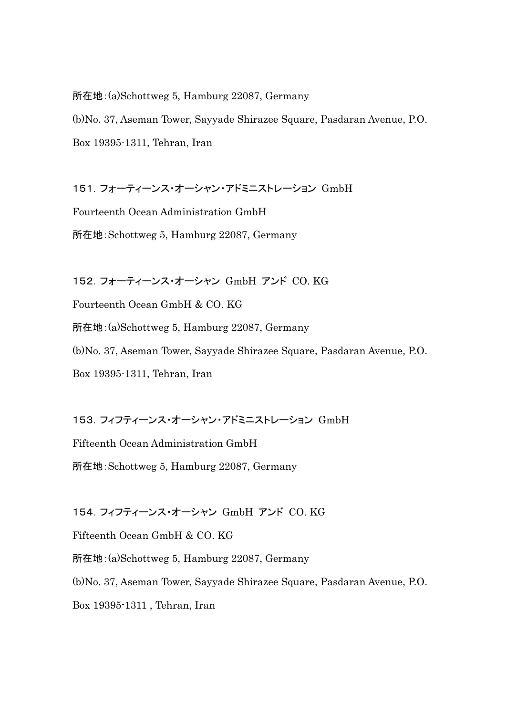所在地:(a)Schottweg 5, Hamburg 22087, Germany

(b)No. 37, Aseman Tower, Sayyade Shirazee Square, Pasdaran Avenue, P.O. Box 19395-1311, Tehran, Iran

151.フォーティーンス・オーシャン・アドミニストレーション GmbH

Fourteenth Ocean Administration GmbH 所在地:Schottweg 5, Hamburg 22087, Germany

152.フォーティーンス・オーシャン GmbH アンド CO. KG Fourteenth Ocean GmbH & CO. KG 所在地:(a)Schottweg 5, Hamburg 22087, Germany (b)No. 37, Aseman Tower, Sayyade Shirazee Square, Pasdaran Avenue, P.O. Box 19395-1311, Tehran, Iran

153.フィフティーンス・オーシャン・アドミニストレーション GmbH

Fifteenth Ocean Administration GmbH 所在地:Schottweg 5, Hamburg 22087, Germany

154.フィフティーンス・オーシャン GmbH アンド CO. KG

Fifteenth Ocean GmbH & CO. KG

所在地:(a)Schottweg 5, Hamburg 22087, Germany

(b)No. 37, Aseman Tower, Sayyade Shirazee Square, Pasdaran Avenue, P.O.

Box 19395-1311 , Tehran, Iran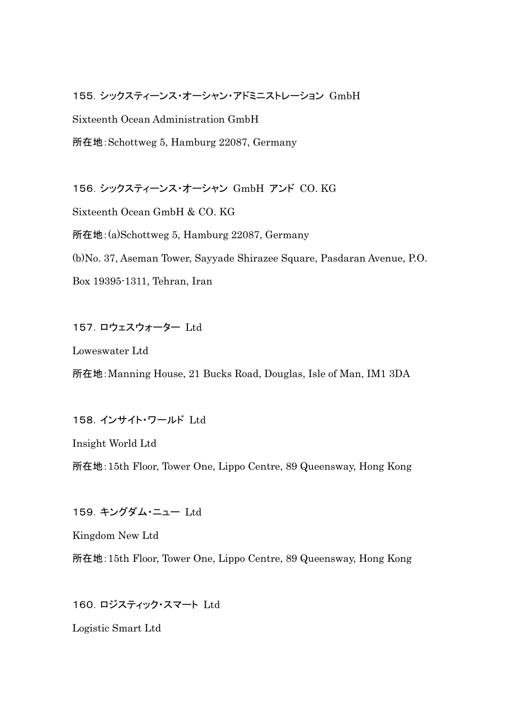155.シックスティーンス・オーシャン・アドミニストレーション GmbH

Sixteenth Ocean Administration GmbH

所在地:Schottweg 5, Hamburg 22087, Germany

156.シックスティーンス・オーシャン GmbH アンド CO. KG

Sixteenth Ocean GmbH & CO. KG

所在地:(a)Schottweg 5, Hamburg 22087, Germany

(b)No. 37, Aseman Tower, Sayyade Shirazee Square, Pasdaran Avenue, P.O.

Box 19395-1311, Tehran, Iran

# 157.ロウェスウォーター Ltd

Loweswater Ltd

所在地:Manning House, 21 Bucks Road, Douglas, Isle of Man, IM1 3DA

158.インサイト・ワールド Ltd

Insight World Ltd

所在地:15th Floor, Tower One, Lippo Centre, 89 Queensway, Hong Kong

159.キングダム・ニュー Ltd

Kingdom New Ltd

所在地:15th Floor, Tower One, Lippo Centre, 89 Queensway, Hong Kong

160. ロジスティック・スマート Ltd

Logistic Smart Ltd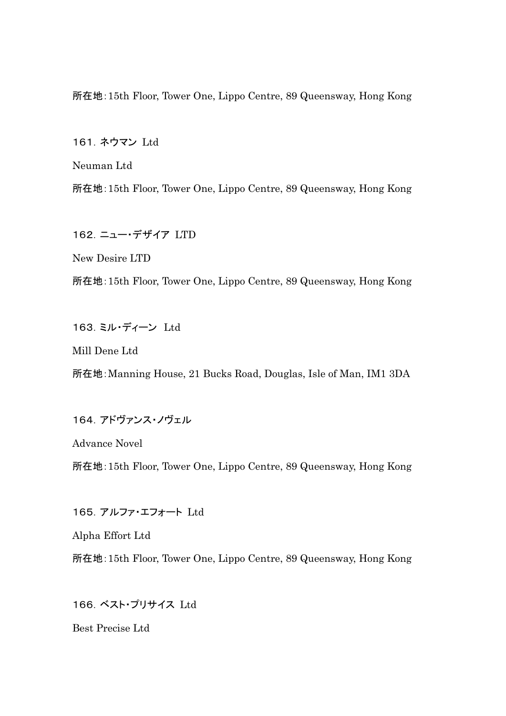所在地:15th Floor, Tower One, Lippo Centre, 89 Queensway, Hong Kong

161. ネウマン Ltd

Neuman Ltd

所在地:15th Floor, Tower One, Lippo Centre, 89 Queensway, Hong Kong

162.ニュー・デザイア LTD

New Desire LTD

所在地:15th Floor, Tower One, Lippo Centre, 89 Queensway, Hong Kong

163.ミル・ディーン Ltd

Mill Dene Ltd

所在地:Manning House, 21 Bucks Road, Douglas, Isle of Man, IM1 3DA

164.アドヴァンス・ノヴェル

Advance Novel

所在地:15th Floor, Tower One, Lippo Centre, 89 Queensway, Hong Kong

165.アルファ・エフォート Ltd

Alpha Effort Ltd

所在地:15th Floor, Tower One, Lippo Centre, 89 Queensway, Hong Kong

166.ベスト・プリサイス Ltd

Best Precise Ltd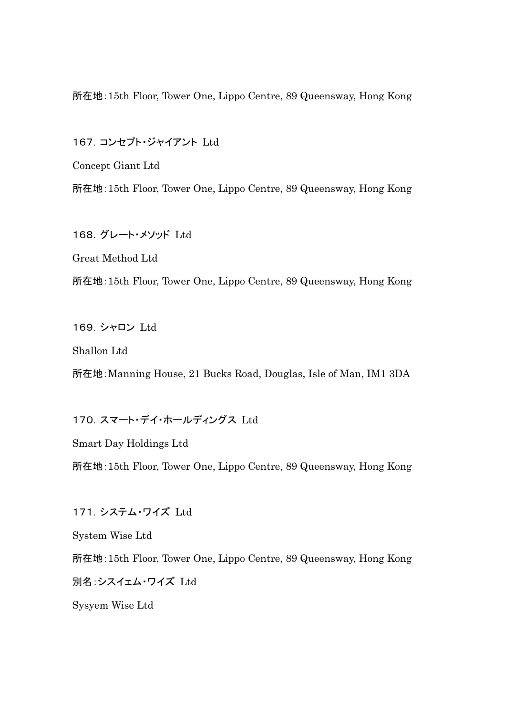所在地:15th Floor, Tower One, Lippo Centre, 89 Queensway, Hong Kong

167.コンセプト・ジャイアント Ltd

Concept Giant Ltd 所在地:15th Floor, Tower One, Lippo Centre, 89 Queensway, Hong Kong

168.グレート・メソッド Ltd Great Method Ltd

所在地:15th Floor, Tower One, Lippo Centre, 89 Queensway, Hong Kong

169.シャロン Ltd

Shallon Ltd

所在地:Manning House, 21 Bucks Road, Douglas, Isle of Man, IM1 3DA

170. スマート・デイ・ホールディングス Ltd

Smart Day Holdings Ltd

所在地:15th Floor, Tower One, Lippo Centre, 89 Queensway, Hong Kong

171.システム・ワイズ Ltd

System Wise Ltd

所在地:15th Floor, Tower One, Lippo Centre, 89 Queensway, Hong Kong 別名:シスイェム・ワイズ Ltd

Sysyem Wise Ltd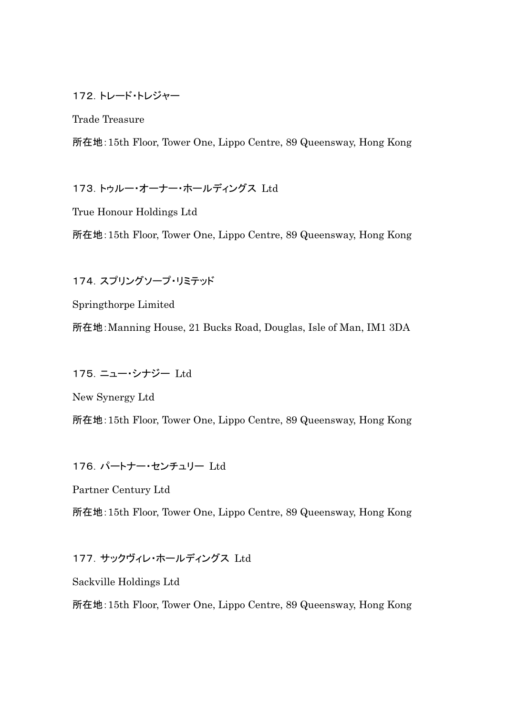### 172.トレード・トレジャー

Trade Treasure

所在地:15th Floor, Tower One, Lippo Centre, 89 Queensway, Hong Kong

173.トゥルー・オーナー・ホールディングス Ltd

True Honour Holdings Ltd

所在地:15th Floor, Tower One, Lippo Centre, 89 Queensway, Hong Kong

174. スプリングソープ・リミテッド

Springthorpe Limited

所在地:Manning House, 21 Bucks Road, Douglas, Isle of Man, IM1 3DA

175.ニュー・シナジー Ltd

New Synergy Ltd

所在地:15th Floor, Tower One, Lippo Centre, 89 Queensway, Hong Kong

176.パートナー・センチュリー Ltd

Partner Century Ltd

所在地:15th Floor, Tower One, Lippo Centre, 89 Queensway, Hong Kong

177.サックヴィレ・ホールディングス Ltd

Sackville Holdings Ltd

所在地:15th Floor, Tower One, Lippo Centre, 89 Queensway, Hong Kong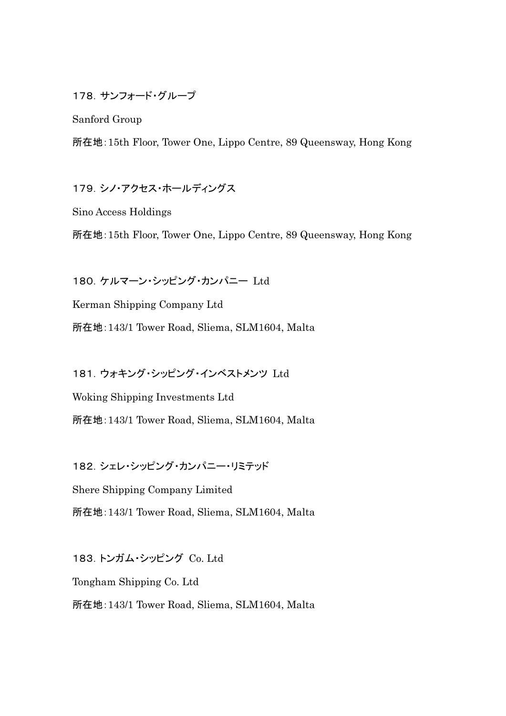178.サンフォード・グループ

Sanford Group

所在地:15th Floor, Tower One, Lippo Centre, 89 Queensway, Hong Kong

179.シノ・アクセス・ホールディングス

Sino Access Holdings

所在地:15th Floor, Tower One, Lippo Centre, 89 Queensway, Hong Kong

180.ケルマーン・シッピング・カンパニー Ltd Kerman Shipping Company Ltd 所在地:143/1 Tower Road, Sliema, SLM1604, Malta

181.ウォキング・シッピング・インベストメンツ Ltd Woking Shipping Investments Ltd 所在地:143/1 Tower Road, Sliema, SLM1604, Malta

182.シェレ・シッピング・カンパニー・リミテッド Shere Shipping Company Limited

所在地:143/1 Tower Road, Sliema, SLM1604, Malta

183.トンガム・シッピング Co. Ltd Tongham Shipping Co. Ltd 所在地:143/1 Tower Road, Sliema, SLM1604, Malta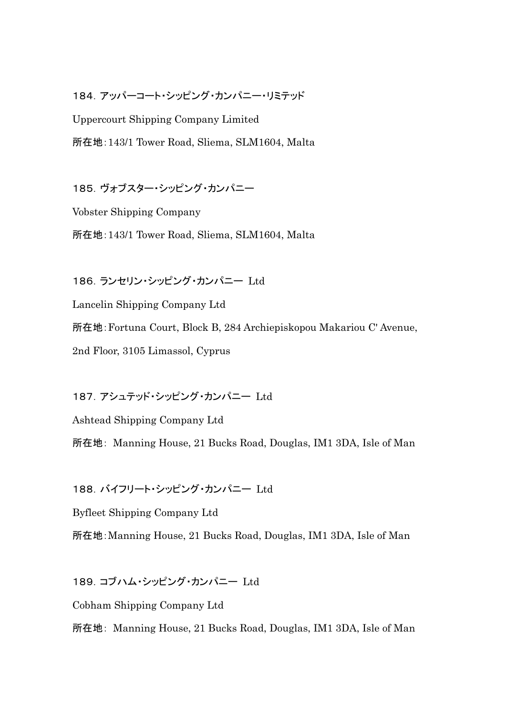184.アッパーコート・シッピング・カンパニー・リミテッド

Uppercourt Shipping Company Limited 所在地:143/1 Tower Road, Sliema, SLM1604, Malta

185.ヴォブスター・シッピング・カンパニー

Vobster Shipping Company 所在地:143/1 Tower Road, Sliema, SLM1604, Malta

186.ランセリン・シッピング・カンパニー Ltd

Lancelin Shipping Company Ltd 所在地:Fortuna Court, Block B, 284 Archiepiskopou Makariou C' Avenue, 2nd Floor, 3105 Limassol, Cyprus

187.アシュテッド・シッピング・カンパニー Ltd

Ashtead Shipping Company Ltd

所在地: Manning House, 21 Bucks Road, Douglas, IM1 3DA, Isle of Man

188.バイフリート・シッピング・カンパニー Ltd

Byfleet Shipping Company Ltd

所在地:Manning House, 21 Bucks Road, Douglas, IM1 3DA, Isle of Man

189.コブハム・シッピング・カンパニー Ltd

Cobham Shipping Company Ltd

所在地: Manning House, 21 Bucks Road, Douglas, IM1 3DA, Isle of Man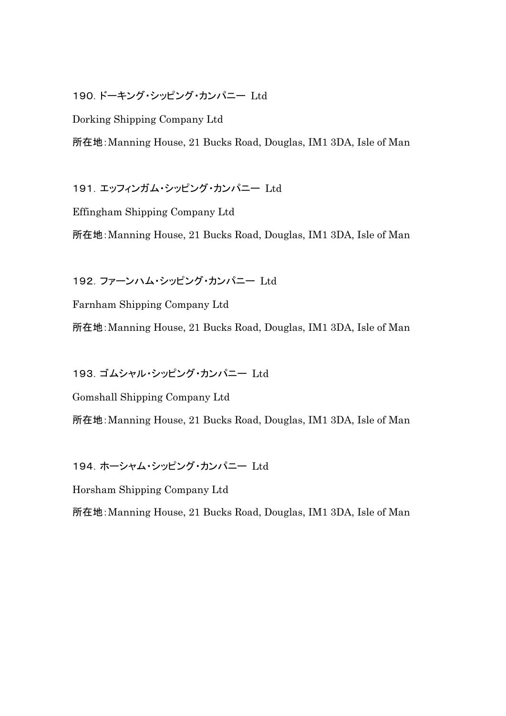## 190.ドーキング・シッピング・カンパニー Ltd

Dorking Shipping Company Ltd

所在地:Manning House, 21 Bucks Road, Douglas, IM1 3DA, Isle of Man

191.エッフィンガム・シッピング・カンパニー Ltd

Effingham Shipping Company Ltd

所在地:Manning House, 21 Bucks Road, Douglas, IM1 3DA, Isle of Man

192.ファーンハム・シッピング・カンパニー Ltd

Farnham Shipping Company Ltd

所在地:Manning House, 21 Bucks Road, Douglas, IM1 3DA, Isle of Man

193.ゴムシャル・シッピング・カンパニー Ltd

Gomshall Shipping Company Ltd

所在地:Manning House, 21 Bucks Road, Douglas, IM1 3DA, Isle of Man

194.ホーシャム・シッピング・カンパニー Ltd

Horsham Shipping Company Ltd

所在地:Manning House, 21 Bucks Road, Douglas, IM1 3DA, Isle of Man